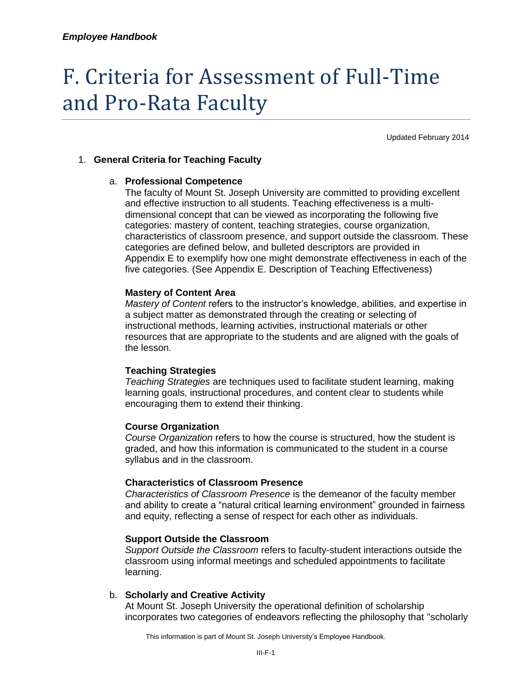# F. Criteria for Assessment of Full-Time and Pro-Rata Faculty

Updated February 2014

# 1. **General Criteria for Teaching Faculty**

# a. **Professional Competence**

The faculty of Mount St. Joseph University are committed to providing excellent and effective instruction to all students. Teaching effectiveness is a multidimensional concept that can be viewed as incorporating the following five categories: mastery of content, teaching strategies, course organization, characteristics of classroom presence, and support outside the classroom. These categories are defined below, and bulleted descriptors are provided in Appendix E to exemplify how one might demonstrate effectiveness in each of the five categories. (See Appendix E. Description of Teaching Effectiveness)

# **Mastery of Content Area**

*Mastery of Content* refers to the instructor's knowledge, abilities, and expertise in a subject matter as demonstrated through the creating or selecting of instructional methods, learning activities, instructional materials or other resources that are appropriate to the students and are aligned with the goals of the lesson.

## **Teaching Strategies**

*Teaching Strategies* are techniques used to facilitate student learning, making learning goals, instructional procedures, and content clear to students while encouraging them to extend their thinking.

## **Course Organization**

*Course Organization* refers to how the course is structured, how the student is graded, and how this information is communicated to the student in a course syllabus and in the classroom.

# **Characteristics of Classroom Presence**

*Characteristics of Classroom Presence* is the demeanor of the faculty member and ability to create a "natural critical learning environment" grounded in fairness and equity, reflecting a sense of respect for each other as individuals.

## **Support Outside the Classroom**

*Support Outside the Classroom* refers to faculty-student interactions outside the classroom using informal meetings and scheduled appointments to facilitate learning.

## b. **Scholarly and Creative Activity**

At Mount St. Joseph University the operational definition of scholarship incorporates two categories of endeavors reflecting the philosophy that "scholarly

This information is part of Mount St. Joseph University's Employee Handbook.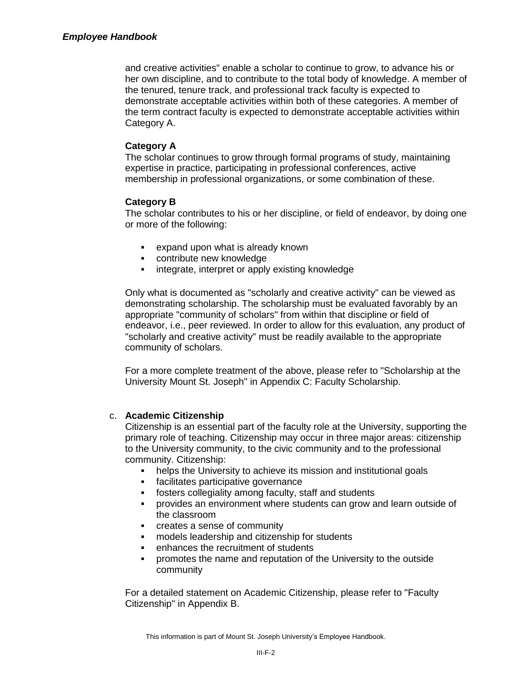## *Employee Handbook*

and creative activities" enable a scholar to continue to grow, to advance his or her own discipline, and to contribute to the total body of knowledge. A member of the tenured, tenure track, and professional track faculty is expected to demonstrate acceptable activities within both of these categories. A member of the term contract faculty is expected to demonstrate acceptable activities within Category A.

# **Category A**

The scholar continues to grow through formal programs of study, maintaining expertise in practice, participating in professional conferences, active membership in professional organizations, or some combination of these.

# **Category B**

The scholar contributes to his or her discipline, or field of endeavor, by doing one or more of the following:

- expand upon what is already known
- contribute new knowledge
- integrate, interpret or apply existing knowledge

Only what is documented as "scholarly and creative activity" can be viewed as demonstrating scholarship. The scholarship must be evaluated favorably by an appropriate "community of scholars" from within that discipline or field of endeavor, i.e., peer reviewed. In order to allow for this evaluation, any product of "scholarly and creative activity" must be readily available to the appropriate community of scholars.

For a more complete treatment of the above, please refer to "Scholarship at the University Mount St. Joseph" in Appendix C: Faculty Scholarship.

## c. **Academic Citizenship**

Citizenship is an essential part of the faculty role at the University, supporting the primary role of teaching. Citizenship may occur in three major areas: citizenship to the University community, to the civic community and to the professional community. Citizenship:

- helps the University to achieve its mission and institutional goals
- facilitates participative governance
- fosters collegiality among faculty, staff and students
- provides an environment where students can grow and learn outside of the classroom
- creates a sense of community
- models leadership and citizenship for students
- enhances the recruitment of students
- promotes the name and reputation of the University to the outside community

For a detailed statement on Academic Citizenship, please refer to "Faculty Citizenship" in Appendix B.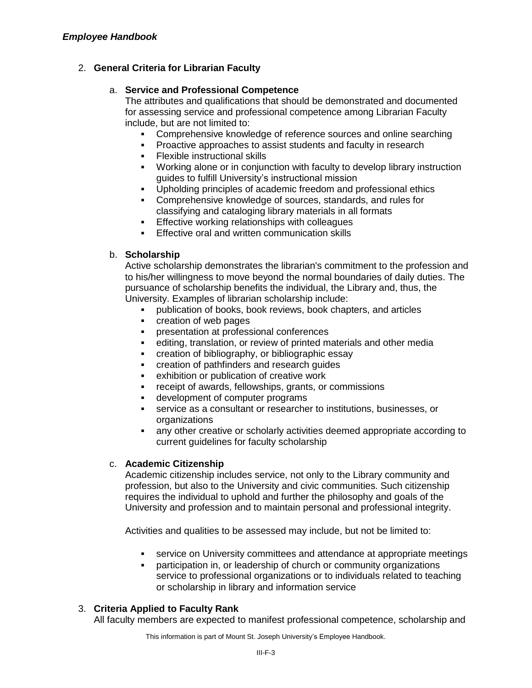# 2. **General Criteria for Librarian Faculty**

# a. **Service and Professional Competence**

The attributes and qualifications that should be demonstrated and documented for assessing service and professional competence among Librarian Faculty include, but are not limited to:

- Comprehensive knowledge of reference sources and online searching
- Proactive approaches to assist students and faculty in research
- Flexible instructional skills
- Working alone or in conjunction with faculty to develop library instruction guides to fulfill University's instructional mission
- Upholding principles of academic freedom and professional ethics
- Comprehensive knowledge of sources, standards, and rules for classifying and cataloging library materials in all formats
- **Effective working relationships with colleagues**
- **Effective oral and written communication skills**

# b. **Scholarship**

Active scholarship demonstrates the librarian's commitment to the profession and to his/her willingness to move beyond the normal boundaries of daily duties. The pursuance of scholarship benefits the individual, the Library and, thus, the University. Examples of librarian scholarship include:

- publication of books, book reviews, book chapters, and articles
- creation of web pages
- presentation at professional conferences
- editing, translation, or review of printed materials and other media
- **EXECTE CREATION CONTER creation of bibliographic essay**
- creation of pathfinders and research guides
- exhibition or publication of creative work
- receipt of awards, fellowships, grants, or commissions
- development of computer programs
- service as a consultant or researcher to institutions, businesses, or organizations
- any other creative or scholarly activities deemed appropriate according to current guidelines for faculty scholarship

## c. **Academic Citizenship**

Academic citizenship includes service, not only to the Library community and profession, but also to the University and civic communities. Such citizenship requires the individual to uphold and further the philosophy and goals of the University and profession and to maintain personal and professional integrity.

Activities and qualities to be assessed may include, but not be limited to:

- service on University committees and attendance at appropriate meetings
- participation in, or leadership of church or community organizations service to professional organizations or to individuals related to teaching or scholarship in library and information service

# 3. **Criteria Applied to Faculty Rank**

All faculty members are expected to manifest professional competence, scholarship and

This information is part of Mount St. Joseph University's Employee Handbook.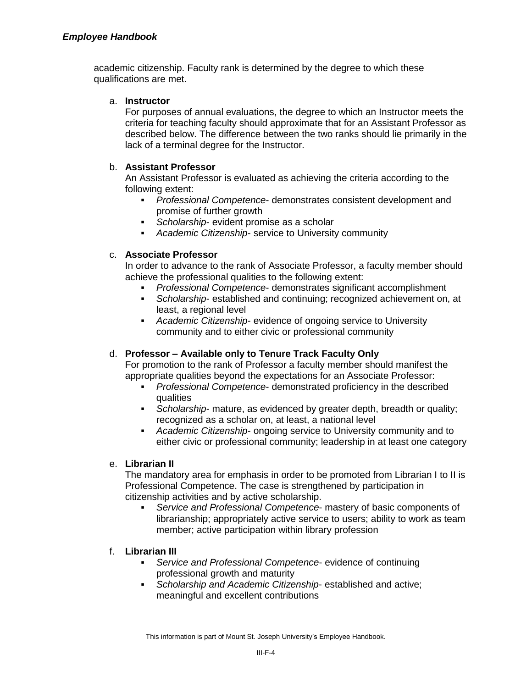academic citizenship. Faculty rank is determined by the degree to which these qualifications are met.

## a. **Instructor**

For purposes of annual evaluations, the degree to which an Instructor meets the criteria for teaching faculty should approximate that for an Assistant Professor as described below. The difference between the two ranks should lie primarily in the lack of a terminal degree for the Instructor.

# b. **Assistant Professor**

An Assistant Professor is evaluated as achieving the criteria according to the following extent:

- *Professional Competence* demonstrates consistent development and promise of further growth
- *Scholarship* evident promise as a scholar
- *Academic Citizenship* service to University community

# c. **Associate Professor**

In order to advance to the rank of Associate Professor, a faculty member should achieve the professional qualities to the following extent:

- *Professional Competence* demonstrates significant accomplishment
- *Scholarship* established and continuing; recognized achievement on, at least, a regional level
- *Academic Citizenship* evidence of ongoing service to University community and to either civic or professional community

# d. **Professor – Available only to Tenure Track Faculty Only**

For promotion to the rank of Professor a faculty member should manifest the appropriate qualities beyond the expectations for an Associate Professor:

- *Professional Competence* demonstrated proficiency in the described qualities
- *Scholarship* mature, as evidenced by greater depth, breadth or quality; recognized as a scholar on, at least, a national level
- *Academic Citizenship* ongoing service to University community and to either civic or professional community; leadership in at least one category

# e. **Librarian II**

The mandatory area for emphasis in order to be promoted from Librarian I to II is Professional Competence. The case is strengthened by participation in citizenship activities and by active scholarship.

 *Service and Professional Competence*- mastery of basic components of librarianship; appropriately active service to users; ability to work as team member; active participation within library profession

# f. **Librarian III**

- *Service and Professional Competence* evidence of continuing professional growth and maturity
- *Scholarship and Academic Citizenship* established and active; meaningful and excellent contributions